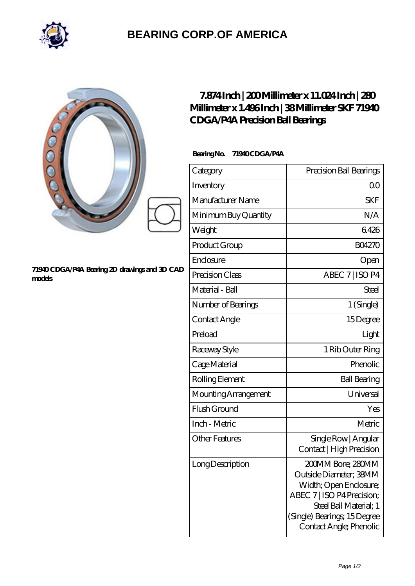

# **[BEARING CORP.OF AMERICA](https://bluemondayreview.com)**

| M<br>Cl                                                                                                     |
|-------------------------------------------------------------------------------------------------------------|
| $\mathbf{B}$<br>$\mathcal{C}^{\mathcal{C}}$<br>In<br>$\overline{M}$<br>$\overline{\mathsf{M}}$<br><b>AZ</b> |

#### **[71940 CDGA/P4A Bearing 2D drawings and 3D CAD](https://bluemondayreview.com/pic-177156.html) [models](https://bluemondayreview.com/pic-177156.html)**

## **[7.874 Inch | 200 Millimeter x 11.024 Inch | 280](https://bluemondayreview.com/af-177156-skf-71940-cdga-p4a-precision-ball-bearings.html) [Millimeter x 1.496 Inch | 38 Millimeter SKF 71940](https://bluemondayreview.com/af-177156-skf-71940-cdga-p4a-precision-ball-bearings.html) [CDGA/P4A Precision Ball Bearings](https://bluemondayreview.com/af-177156-skf-71940-cdga-p4a-precision-ball-bearings.html)**

### **Bearing No. 71940 CDGA/P4A**

| Category             | Precision Ball Bearings                                                                                                                                                                 |
|----------------------|-----------------------------------------------------------------------------------------------------------------------------------------------------------------------------------------|
| Inventory            | 0 <sup>0</sup>                                                                                                                                                                          |
| Manufacturer Name    | <b>SKF</b>                                                                                                                                                                              |
| Minimum Buy Quantity | N/A                                                                                                                                                                                     |
| Weight               | 6426                                                                                                                                                                                    |
| Product Group        | <b>BO4270</b>                                                                                                                                                                           |
| Enclosure            | Open                                                                                                                                                                                    |
| Precision Class      | ABEC 7   ISO P4                                                                                                                                                                         |
| Material - Ball      | Steel                                                                                                                                                                                   |
| Number of Bearings   | 1 (Single)                                                                                                                                                                              |
| Contact Angle        | 15Degree                                                                                                                                                                                |
| Preload              | Light                                                                                                                                                                                   |
| Raceway Style        | 1 Rib Outer Ring                                                                                                                                                                        |
| Cage Material        | Phenolic                                                                                                                                                                                |
| Rolling Element      | <b>Ball Bearing</b>                                                                                                                                                                     |
| Mounting Arrangement | Universal                                                                                                                                                                               |
| Flush Ground         | Yes                                                                                                                                                                                     |
| Inch - Metric        | Metric                                                                                                                                                                                  |
| Other Features       | Single Row   Angular<br>Contact   High Precision                                                                                                                                        |
| Long Description     | 200MM Bore; 280MM<br>Outside Diameter; 38MM<br>Width; Open Enclosure;<br>ABEC 7   ISO P4 Precision;<br>Steel Ball Material; 1<br>(Single) Bearings; 15Degree<br>Contact Angle; Phenolic |